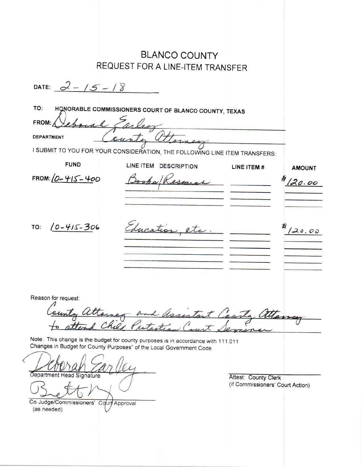| <b>BLANCO COUNTY</b>                                                              |                                                                 |               |
|-----------------------------------------------------------------------------------|-----------------------------------------------------------------|---------------|
| REQUEST FOR A LINE-ITEM TRANSFER                                                  |                                                                 |               |
| DATE: $2 - 15 - 18$                                                               |                                                                 |               |
| TO:<br>HONORABLE COMMISSIONERS COURT OF BLANCO COUNTY, TEXAS                      |                                                                 |               |
| FROM:                                                                             |                                                                 |               |
| <b>DEPARTMENT</b>                                                                 |                                                                 |               |
| I SUBMIT TO YOU FOR YOUR CONSIDERATION, THE FOLLOWING LINE ITEM TRANSFERS:        |                                                                 |               |
| <b>FUND</b><br>LINE ITEM DESCRIPTION                                              | LINE ITEM #                                                     | <b>AMOUNT</b> |
| FROM: $10 - 415 - 400$                                                            |                                                                 | 20.00         |
|                                                                                   |                                                                 |               |
|                                                                                   |                                                                 |               |
| ducation et<br>$(0 - 45 - 306$<br>TO:                                             |                                                                 | 20.00         |
|                                                                                   |                                                                 |               |
|                                                                                   |                                                                 |               |
|                                                                                   |                                                                 |               |
|                                                                                   |                                                                 |               |
| Reason for request:                                                               |                                                                 |               |
|                                                                                   |                                                                 |               |
| themer and assistant County attance                                               |                                                                 |               |
| Note: This change is the budget for county purposes is in accordance with 111.011 |                                                                 |               |
| Changes in Budget for County Purposes" of the Local Government Code.              |                                                                 |               |
|                                                                                   |                                                                 |               |
| Department Head Signature                                                         | <b>Attest: County Clerk</b><br>(if Commissioners' Court Action) |               |
|                                                                                   |                                                                 |               |
| Co Judge/Commissioners' Court Approval<br>(as needed)                             |                                                                 |               |
|                                                                                   |                                                                 |               |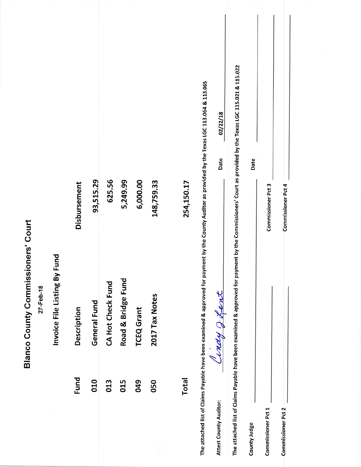|                                                            |                              |              |              |                   |                    |                   |                |              |                                                                                                                                                    | 02/22/18               | payment by the Commissioners' Court as provided by the Texas LGC 115.021 & 115.022 |              |                    |                    |
|------------------------------------------------------------|------------------------------|--------------|--------------|-------------------|--------------------|-------------------|----------------|--------------|----------------------------------------------------------------------------------------------------------------------------------------------------|------------------------|------------------------------------------------------------------------------------|--------------|--------------------|--------------------|
|                                                            |                              | Disbursement | 93,515.29    | 625.56            | 5,249.99           | 6,000.00          | 148,759.33     | 254,150.17   |                                                                                                                                                    | Date                   |                                                                                    | Date         | Commissioner Pct 3 | Commissioner Pct 4 |
| sioners' Court<br><b>Blanco County Commis</b><br>27-Feb-18 | Invoice File Listing By Fund | Description  | General Fund | CA Hot Check Fund | Road & Bridge Fund | <b>TCEQ</b> Grant | 2017 Tax Notes |              | The attached list of Claims Payable have been examined & approved for payment by the County Auditor as provided by the Texas LGC 113.064 & 113.065 | Ciney Japant           |                                                                                    |              |                    |                    |
|                                                            |                              | Fund         | 010          | 013               | 015                | 049               | 050            | <b>Total</b> |                                                                                                                                                    | Attest County Auditor: | The attached list of Claims Payable have been examined & approved for p            | County Judge | Commissioner Pct 1 | Commissioner Pct 2 |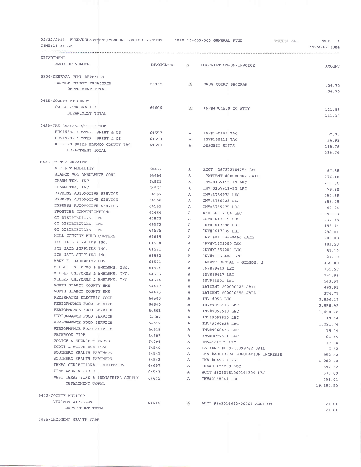| 02/22/2018--FUND/DEPARTMENT/VENDOR INVOICE LISTING --- 0010 10-000-000 GENERAL FUND<br>TIME: 11:36 AM |              |              |                                   | CYCLE: ALL | PAGE 1<br>PREPARER: 0004 |
|-------------------------------------------------------------------------------------------------------|--------------|--------------|-----------------------------------|------------|--------------------------|
| DEPARTMENT                                                                                            |              |              |                                   |            | . <i>.</i>               |
| NAME-OF-VENDOR                                                                                        | INVOICE-NO S |              | DESCRIPTION-OF-INVOICE            |            | <b>AMOUNT</b>            |
|                                                                                                       |              |              |                                   |            |                          |
| 0300-GENERAL FUND REVENUES                                                                            |              |              |                                   |            |                          |
| BURNET COUNTY TREASURER                                                                               | 64465        | A            | DRUG COURT PROGRAM                |            | 104.70                   |
| DEPARTMENT TOTAL                                                                                      |              |              |                                   |            | 104.70                   |
|                                                                                                       |              |              |                                   |            |                          |
| 0415-COUNTY ATTORNEY                                                                                  |              |              |                                   |            |                          |
| QUILL CORPORATION                                                                                     | 64606        | $\mathbf{A}$ | INV#4704500 CO ATTY               |            | 141.36                   |
| DEPARTMENT TOTAL                                                                                      |              |              |                                   |            | 141.36                   |
| 0420-TAX ASSESSOR/COLLECTOR                                                                           |              |              |                                   |            |                          |
| BUSINESS CENTER PRINT & OS                                                                            | 64557        | $\mathbf{A}$ |                                   |            |                          |
| BUSINESS CENTER PRINT & OS                                                                            | 64558        | $\mathbf{A}$ | INV#130152 TAC                    |            | 82.99                    |
| KRISTEN SPIES BLANCO COUNTY TAC                                                                       | 64590        | A            | INV#130113 TAC<br>DEPOSIT SLIPS   |            | 36.99                    |
| DEPARTMENT TOTAL                                                                                      |              |              |                                   |            | 118.78                   |
|                                                                                                       |              |              |                                   |            | 238.76                   |
| 0425-COUNTY SHERIFF                                                                                   |              |              |                                   |            |                          |
| A T & T MOBILITY                                                                                      | 64452        | $\mathbf{A}$ | ACCT #287272104256 LEC            |            | 67.58                    |
| BLANCO VOL AMBULANCE CORP                                                                             | 64464        | $\mathbf{A}$ | PATIENT #00000982 JAIL            |            | 376.18                   |
| CHARM-TEX, INC                                                                                        | 64561        | A            | INV#0157153-IN LEC                |            | 213.06                   |
| CHARM-TEX, INC                                                                                        | 64562        | A            | INV#0157811-IN LEC                |            | 79.90                    |
| EXPRESS AUTOMOTIVE SERVICE                                                                            | 64567        | A            | INV#3739972 LEC                   |            | 252.49                   |
| EXPRESS AUTOMOTIVE SERVICE                                                                            | 64568        | $\mathbf{A}$ | INV#3730023 LEC                   |            | 383.09                   |
| EXPRESS AUTOMOTIVE SERVICE                                                                            | 64569        | $\mathbf{A}$ | INV#3739975 LEC                   |            | 47.94                    |
| FRONTIER COMMUNICATIONS                                                                               | 64484        | $\mathbb{A}$ | 830-868-7104 LEC                  |            | 1,090.93                 |
| GT DISTRIBUTORS, INC                                                                                  | 64572        | А            | INV#0647815 LEC                   |            | 237.75                   |
| GT DISTRIBUTORS, INC                                                                                  | 64573        | $\mathbf{A}$ | INV#0647688 LEC                   |            | 193.94                   |
| GT DISTRIBUTORS, INC                                                                                  | 64575        | A            | INV#0647689 LEC                   |            | 298.01                   |
| HILL COUNTRY MHDD CENTERS                                                                             | 64619        | $\mathbb{A}$ | INV #01-18-89460 JAIL             |            | 200.00                   |
| ICS JAIL SUPPLIES INC.                                                                                | 64580        | A            | INV#W1522000 LEC                  |            | 181.50                   |
| ICS JAIL SUPPLIES INC.                                                                                | 64581        | $\mathbf{A}$ | INV#W1559200 LEC                  |            | 51.12                    |
| ICS JAIL SUPPLIES INC.                                                                                | 64582        | $\mathbb{A}$ | INV#W1551400 LEC                  |            | 21.10                    |
| MARY K. HAGEMEIER DDS                                                                                 | 64591        | A            | INMATE DENTAL - GILSON, J         |            | 450.00                   |
| MILLER UNIFORMS & EMBLEMS, INC.                                                                       | 64594        | A            | INV#99619 LEC                     |            | 139.50                   |
| MILLER UNIFORMS & EMBLEMS, INC.                                                                       | 64595        | A            | INV#99617 LEC                     |            | 151.95                   |
| MILLER UNIFORMS & EMBLEMS, INC.                                                                       | 64596        | $\mathbf{A}$ | INV#93591 LEC                     |            | 149.97                   |
| NORTH BLANCO COUNTY EMS                                                                               | 64497        | $\mathbf{A}$ | PATIENT #00000226 JAIL            |            | 492.91                   |
| NORTH BLANCO COUNTY EMS                                                                               | 64498        | $\mathbf{A}$ | PATIENT #00000656 JAIL            |            | 374.77                   |
| PEDERNALES ELECTRIC COOP                                                                              | 64500        | А            | INV #955 LEC                      |            | 2,596.17                 |
| PERFORMANCE FOOD SERVICE                                                                              | 64600        | A            | INV#9046413 LEC                   |            | 2,558.92                 |
| PERFORMANCE FOOD SERVICE                                                                              | 64601        | A            | INV#9053510 LEC                   |            | 1,490.28                 |
| PERFORMANCE FOOD SERVICE                                                                              | 64602        | A            | INV#9053510 LEC                   |            | 19.14                    |
| PERFORMANCE FOOD SERVICE                                                                              | 64617        | A            | INV#9060835 LEC                   |            | 1,221.74                 |
| PERFORMANCE FOOD SERVICE                                                                              | 64618        | A            | INV#9060835 LEC                   |            | 19.14                    |
| PETERSON TIRE                                                                                         | 64603        | А            | INV#JC27511 LEC                   |            | 61.45                    |
| POLICE & SHERIFFS PRESS                                                                               | 64604        | A            | INV#102975 LEC                    |            | 17.90                    |
| SCOTT & WHITE HOSPITAL                                                                                | 64540        | A            | PATIENT #PH9211999782 JAIL        |            | 6.42                     |
| SOUTHERN HEALTH PARTNERS<br>SOUTHERN HEALTH PARTNERS                                                  | 64541        | A            | INV #ADP13874 POPULATION INCREASE |            | 952.32                   |
| TEXAS CORRECTIONAL INDUSTRIES                                                                         | 64542        | A            | INV #BASE 31651                   |            | 4,080.00                 |
| TIME WARNER CABLE                                                                                     | 64607        | A            | INV#UI426258 LEC                  |            | 392.32                   |
| WEST TEXAS FIRE & INDUSTRIAL SUPPLY 64615                                                             | 64543        | A            | ACCT #8260161060144399 LEC        |            | 570.00                   |
| DEPARTMENT TOTAL                                                                                      |              | $\mathbf{A}$ | INV#0168947 LEC                   |            | 238.01                   |
|                                                                                                       |              |              |                                   |            | 19,697.50                |
| 0432-COUNTY AUDITOR                                                                                   |              |              |                                   |            |                          |
| VERIZON WIRELESS                                                                                      | 64544        | A            | ACCT #242014685-00001 AUDITOR     |            | 21.01                    |
| DEPARTMENT TOTAL                                                                                      |              |              |                                   |            | 21.01                    |
|                                                                                                       |              |              |                                   |            |                          |
| 0435-INDIGENT HEALTH CARE                                                                             |              |              |                                   |            |                          |
|                                                                                                       |              |              |                                   |            |                          |
|                                                                                                       |              |              |                                   |            |                          |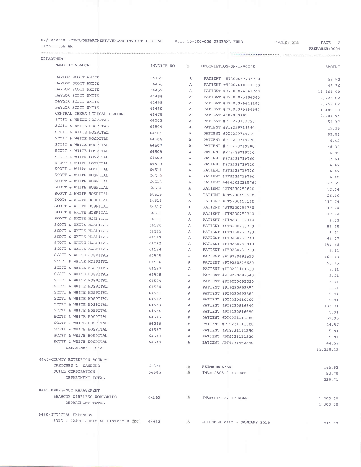| 02/22/2018--FUND/DEPARTMENT/VENDOR INVOICE LISTING --- 0010 10-000-000 GENERAL FUND |  | CYCLE: ALL | PAGE           |  |
|-------------------------------------------------------------------------------------|--|------------|----------------|--|
| TIME:11:36 AM                                                                       |  |            | PREPARER: 0004 |  |

\*\*\*\*\*\*\*\*\*\*\*\*\*\* DEPARTMENT

...........

 $\label{eq:1} \mathbf{v} = \mathbf{v} + \mathbf{v} + \mathbf{v}$ 

-'l

| NAME-OF-VENDOR                                                | INVOICE-NO | S.             | DESCRIPTION-OF-INVOICE       | <b>AMOUNT</b>        |
|---------------------------------------------------------------|------------|----------------|------------------------------|----------------------|
| BAYLOR SCOTT WHITE                                            | 64455      | A              | PATIENT #H7300067733700      | 59.52                |
| BAYLOR SCOTT WHITE                                            | 64456      | $\mathbb{A}$   | PATIENT #H2002640911100      | 48.36                |
| <b>BAYLOR SCOTT WHITE</b>                                     | 64457      | $\mathbf{A}$   | PATIENT #H7300074842700      | 16,594.60            |
| BAYLOR SCOTT WHITE                                            | 64458      | $\mathbb{A}$   | PATIENT #H7300075394000      | 4,728.02             |
| BAYLOR SCOTT WHITE                                            | 64459      | $\mathbf{A}$   | PATIENT #H7300076448100      |                      |
| BAYLOR SCOTT WHITE                                            | 64460      | A              | PATIENT #H7300075660500      | 2,752.62             |
| CENTRAL TEXAS MEDICAL CENTER                                  | 64479      | $\mathbf{A}$   | PATIENT #102950891           | 1,480.10             |
| SCOTT & WHITE HOSPITAL                                        | 64503      | $\mathbf{A}$   | PATIENT #PT9229719750        | 3,683.94             |
| SCOTT & WHITE HOSPITAL                                        | 64504      | $\mathbf{A}$   | PATIENT #PT9229719690        | 152.37               |
| SCOTT & WHITE HOSPITAL                                        | 64505      | $\mathbf{A}$   | PATIENT #PT9229719740        | 19.26                |
| SCOTT & WHITE HOSPITAL                                        | 64506      | $\mathbb{A}$   | PATIENT #PT9229719770        | 82.08                |
| SCOTT & WHITE HOSPITAL                                        | 64507      | A              | PATIENT #PT9229719700        | 6.42                 |
| SCOTT & WHITE HOSPITAL                                        | 64508      | A              |                              | 48.38                |
| SCOTT & WHITE HOSPITAL                                        | 64509      | $\mathbb{A}$   | PATIENT #PT9229719730        | 6.95                 |
| SCOTT & WHITE HOSPITAL                                        | 64510      |                | PATIENT #PT9229719760        | 32.61                |
| SCOTT & WHITE HOSPITAL                                        | 64511      | $\mathsf{A}$   | PATIENT #PT9229719710        | 6.42                 |
| SCOTT & WHITE HOSPITAL                                        | 64512      | $\overline{A}$ | PATIENT #PT9229719720        | 6.42                 |
| SCOTT & WHITE HOSPITAL                                        |            | $\mathbb{A}$   | PATIENT #PT9229719790        | 6.42                 |
| SCOTT & WHITE HOSPITAL                                        | 64513      | $\mathbb{A}$   | PATIENT #444502C385762       | 177.55               |
| SCOTT & WHITE HOSPITAL                                        | 64514      | $\mathbf{A}$   | PATIENT #PT9230253800        | 72.44                |
|                                                               | 64515      | A              | PATIENT #PT9230693570        | 26.46                |
| SCOTT & WHITE HOSPITAL                                        | 64516      | A              | PATIENT #PT9230693560        | 117.74               |
| SCOTT & WHITE HOSPITAL                                        | 64517      | A              | PATIENT #PT9230253750        | 117.74               |
| SCOTT & WHITE HOSPITAL                                        | 64518      | $\mathbf{A}$   | PATIENT #PT9230253760        | 117.74               |
| SCOTT & WHITE HOSPITAL                                        | 64519      | $\mathbf{A}$   | PATIENT #PT9231111310        | B.02                 |
| SCOTT & WHITE HOSPITAL                                        | 64520      | $\mathbb{A}$   | PATIENT #PT9230253770        | 59.95                |
| SCOTT & WHITE HOSPITAL                                        | 64521      | $\mathbb{A}$   | PATIENT #PT9230253780        | 5.91                 |
| SCOTT & WHITE HOSPITAL                                        | 64522      | $\mathbb{A}$   | PATIENT #PT9230253740        | 44.57                |
| SCOTT & WHITE HOSPITAL                                        | 64523      | $\mathbb{A}$   | PATIENT #PT9230253810        | 165.73               |
| SCOTT & WHITE HOSPITAL                                        | 64524      | $\mathbf{A}$   | PATIENT #PT9230253790        | 5.91                 |
| SCOTT & WHITE HOSPITAL                                        | 64525      | $\mathbb{A}$   | PATIENT #PT9230693520        | 165.73               |
| SCOTT & WHITE HOSPITAL                                        | 64526      | $\mathbf{A}$   | PATIENT #PT9230816630        | 93.15                |
| SCOTT & WHITE HOSPITAL                                        | 64527      | $\mathbf{A}$   | PATIENT #PT9231111330        | 5.91                 |
| SCOTT & WHITE HOSPITAL                                        | 64528      | $\overline{A}$ | PATIENT #PT9230693540        | 5.91                 |
| SCOTT & WHITE HOSPITAL                                        | 64529      | A              | PATIENT #PT9230693530        | 5.91                 |
| SCOTT & WHITE HOSPITAL                                        | 64530      | $\mathbb{A}$   | PATIENT #PT9230693550        | 5.91                 |
| SCOTT & WHITE HOSPITAL                                        | 64531      | А              | PATIENT #PT9230693580        | 5.91                 |
| SCOTT & WHITE HOSPITAL                                        | 64532      | $\mathbf{A}$   | PATIENT #PT9230816660        | 5.91                 |
| SCOTT & WHITE HOSPITAL                                        | 64533      | $\mathbb{A}$   | PATIENT #PT9230816640        | 133.71               |
| SCOTT & WHITE HOSPITAL                                        | 64534      | $\mathbf{A}$   | PATIENT #PT9230816650        | 5.91                 |
| SCOTT & WHITE HOSPITAL                                        | 64535      | $\mathbf{A}$   | PATIENT #PT9231111280        | 59.95                |
| SCOTT & WHITE HOSPITAL                                        | 64536      | $\mathsf{A}$   | PATIENT #PT9231111300        | 44.57                |
| SCOTT & WHITE HOSPITAL                                        | 64537      | A              | PATIENT #PT9231111290        | 5.91                 |
| SCOTT & WHITE HOSPITAL                                        | 64538      | A              | PATIENT #PT9231111320        | 5.91                 |
| SCOTT & WHITE HOSPITAL                                        | 64539      | $\mathsf{A}$   | PATIENT #PT9231462250        | 44.57                |
| DEPARTMENT TOTAL                                              |            |                |                              | 31,229.12            |
|                                                               |            |                |                              |                      |
| 0440-COUNTY EXTENSION AGENCY                                  |            |                |                              |                      |
| GRETCHEN L. SANDERS                                           | 64571      | A              | REIMBURSEMENT                | 185.92               |
| QUILL CORPORATION                                             | 64605      | A              | INV#1256510 AG EXT           | 53.79                |
| DEPARTMENT TOTAL                                              |            |                |                              | 239.71               |
| 0445-EMERGENCY MANAGEMENT                                     |            |                |                              |                      |
| BEARCOM WIRELESS WORLDWIDE                                    | 64552      | A              | INV#4669027 ER MGMT          |                      |
| DEPARTMENT TOTAL                                              |            |                |                              | 1,300.00<br>1,300.00 |
|                                                               |            |                |                              |                      |
| 0450-JUDICIAL EXPENSES<br>33RD & 424TH JUDICIAL DISTRICTS CSC |            |                |                              |                      |
|                                                               | 64453      | A              | DECEMBER 2017 - JANUARY 2018 | 933.69               |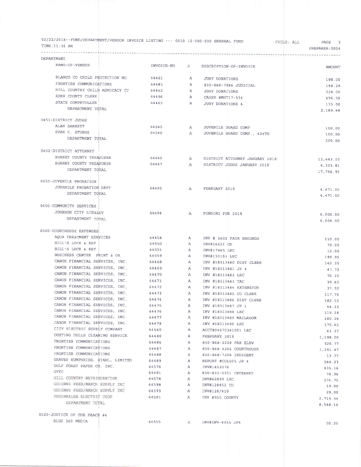| 02/22/2018--FUND/DEPARTMENT/VENDOR INVOICE LISTING --- 0010 10-000-000 GENERAL FUND<br>TIME:11:36 AM |                                    |              |                                             | CYCLE: ALL<br>PAGE<br>3<br>PREPARER: 0004 |
|------------------------------------------------------------------------------------------------------|------------------------------------|--------------|---------------------------------------------|-------------------------------------------|
| DEPARTMENT                                                                                           | ---------------------------------- |              |                                             |                                           |
| NAME-OF-VENDOR                                                                                       | INVOICE-NO                         | <b>S</b>     | DESCRIPTION-OF-INVOICE                      | <b>AMOUNT</b>                             |
| BLANCO CO CHILD PROTECTION BD                                                                        | 64461                              | $\mathbf{A}$ | <b>JURY DONATIONS</b>                       |                                           |
| FRONTIER COMMUNICATIONS                                                                              | 64483                              | $\mathbf{A}$ | 830-868-7986 JUDICIAL                       | 198.00                                    |
| HILL COUNTRY CHILD ADVOCACY CT                                                                       | 64462                              | A            | JURY DONATIONS                              | 198.29                                    |
| KERR COUNTY CLERK                                                                                    | 64496                              | $\mathbf{A}$ | CAUSE #MHT17-534                            | 228.00                                    |
| STATE COMPRTOLLER                                                                                    | 64463                              | A            | <b>JURY DONATIONS 4</b>                     | 496.50                                    |
| DEPARTMENT TOTAL                                                                                     |                                    |              |                                             | 135.00                                    |
|                                                                                                      |                                    |              |                                             | 2,189.48                                  |
| 0451-DISTRICT JUDGE                                                                                  |                                    |              |                                             |                                           |
| ALAN GARRETT                                                                                         | 64545                              | A            | JUVENILE BOARD COMP                         | 100.00                                    |
| EVAN C. STUBBS                                                                                       | 64546                              | A            | JUVENILE BOARD COMP., 424TH                 | 100.00                                    |
| DEPARTMENT TOTAL                                                                                     |                                    |              |                                             | 200.00                                    |
|                                                                                                      |                                    |              |                                             |                                           |
| 0452-DISTRICT ATTORNEY                                                                               |                                    |              |                                             |                                           |
| BURNET COUNTY TREASURER                                                                              | 64466                              | A            | DISTRICT ATTORNEY JANUARY 2018              | 13,443.10                                 |
| BURNET COUNTY TREASURER                                                                              | 64467                              | A            | DISTRICT JUDGE JANUARY 2018                 | 4,323.81                                  |
| DEPARTMENT TOTAL                                                                                     |                                    |              |                                             | 17,766.91                                 |
|                                                                                                      |                                    |              |                                             |                                           |
| 0453-JUVENILE PROBATION                                                                              |                                    |              |                                             |                                           |
| JUVENILE PROBATION DEPT                                                                              | 64495                              | A            | FEBRUARY 2018                               | 4,471.00                                  |
| DEPARTMENT TOTAL                                                                                     |                                    |              |                                             | 4,471.00                                  |
|                                                                                                      |                                    |              |                                             |                                           |
| 0455-COMMUNITY SERVICES                                                                              |                                    |              |                                             |                                           |
| JOHNSON CITY LIBRARY                                                                                 | 64494                              | A            | FUNDING FOR 2018                            | 6,000.00                                  |
| DEPARTMENT TOTAL                                                                                     |                                    |              |                                             | 6,000.00                                  |
|                                                                                                      |                                    |              |                                             |                                           |
| 0500-COURTHOUSE EXPENSES                                                                             |                                    |              |                                             |                                           |
| AQUA TREATMENT SERVICES                                                                              | 64454                              | $\mathbf{A}$ | INV # 5602 FAIR GROUNDS                     | 110.00                                    |
| BILL'S LOCK & KEY                                                                                    | 64550                              | $\mathbf{A}$ | INV#16621 CH                                | 79.00                                     |
| BILL'S LOCK & KEY<br>BUSINESS CENTER PRINT & OS                                                      | 64551                              | A            | INV#17665 LEC                               | 12.00                                     |
| CANON FINANCIAL SERVICES, INC.                                                                       | 64559                              | $\mathbf{A}$ | INV#130153 LEC                              | 199.95                                    |
| CANON FINANCIAL SERVICES, INC.                                                                       | 64468                              | А            | INV #18313480 DIST CLERK                    | 142.35                                    |
| CANON FINANCIAL SERVICES, INC.                                                                       | 64469                              | A            | INV #18313481 JP 4                          | 47.73                                     |
| CANON FINANCIAL SERVICES, INC.                                                                       | 64470                              | A            | INV #18313482 LEC                           | 70.20                                     |
| CANON FINANCIAL SERVICES, INC.                                                                       | 64471                              | A            | INV #18313483 TAC                           | 39.62                                     |
| CANON FINANCIAL SERVICES, INC.                                                                       | 64472                              | A            | INV #18313484 EXTENSION                     | 37.92                                     |
| CANON FINANCIAL SERVICES, INC.                                                                       | 64473                              | A            | INV #18313485 CO CLERK                      | 117.76                                    |
| CANON FINANCIAL SERVICES, INC.                                                                       | 64474                              | A            | INV #18313486 DIST CLERK                    | 182.52                                    |
| CANON FINANCIAL SERVICES, INC.                                                                       | 64475<br>64476                     | A<br>A       | INV #18313487 JP 1                          | 44.33                                     |
| CANON FINANCIAL SERVICES, INC.                                                                       | 64477                              | A            | INV #18313488 LEC<br>INV #18313489 MAILROOM | 119.18                                    |
| CANON FINANCIAL SERVICES, INC.                                                                       | 64478                              | A            | INV #18313490 LEC                           | 180.26                                    |
| CITY ELECTRIC SUPPLY COMPANY                                                                         | 64560                              | A            | ACCT#04670341001 LEC                        | 175.62                                    |
| DUSTING DOLLS CLEANING SERVICE                                                                       | 64480                              | A            | FEBRUARY 2018                               | 63.27                                     |
| FRONTIER COMMUNICATIONS                                                                              | 64486                              | A            | 830-868-2228 FAX ELEV                       | 1,198.00                                  |
| FRONTIER COMMUNICATIONS                                                                              | 64487                              | A            | 830-868-4266 COURTHOUSE                     | 326.77                                    |
| FRONTIER COMMUNICATIONS                                                                              | 64488                              | A            | 830-868-7208 INDIGENT                       | 1,291.47                                  |
| GRAVES HUMPHRIES, \$TAHL, LIMITED                                                                    | 64489                              | A            | REPORT #COL005 JP 4                         | 13.77                                     |
| GULF COAST PAPER CO. INC.                                                                            | 64576                              | А            | INV#1453276                                 | 544.23                                    |
| GVTC                                                                                                 | 64491                              | A            | 830-833-5331 INTERNET                       | 435.16                                    |
| HILL COUNTRY REFRIGERATION                                                                           | 64578                              | A            | INV#62899 LEC                               | 74.96<br>274.75                           |
| ODIORNE FEED/RANCH SUPPLY INC                                                                        | 64598                              | A            | INV#128452 CH                               | 19.00                                     |
| ODIORNE FEED/RANCH SUPPLY INC                                                                        | 64599                              | A            | INV#128/459                                 | 29.00                                     |
| PEDERNALES ELECTRIC COOP                                                                             | 64501                              | A            | INV #955 COUNTY                             | 2,719.34                                  |
| DEPARTMENT TOTAL                                                                                     |                                    |              |                                             | 8,548.16                                  |
|                                                                                                      |                                    |              |                                             |                                           |
| 0520-JUSTICE OF THE PEACE #4                                                                         |                                    |              |                                             |                                           |
| BLUE 360 MEDIA                                                                                       | 64555                              | A            | INV#INV-4935 JP4                            | 50.25                                     |
|                                                                                                      |                                    |              |                                             |                                           |
|                                                                                                      |                                    |              |                                             |                                           |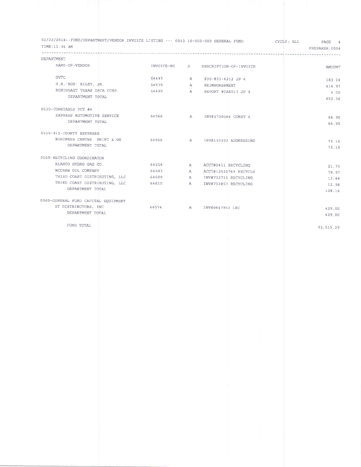| 02/22/2018--FUND/DEPARTMENT/VENDOR INVOICE LISTING --- 0010 10-000-000 GENERAL FUND<br>TIME: 11:36 AM |       |   |                                     | CYCLE: ALL<br>PAGE 4<br>PREPARER: 0004 |
|-------------------------------------------------------------------------------------------------------|-------|---|-------------------------------------|----------------------------------------|
| DEPARTMENT                                                                                            |       |   |                                     | ------------------------               |
| NAME-OF-VENDOR                                                                                        |       |   | INVOICE-NO S DESCRIPTION-OF-INVOICE | <b>AMOUNT</b>                          |
| <b>GVTC</b>                                                                                           | 64493 | A | 830-833-4212 JP 4                   | 183.14                                 |
| $H.R_+$ 'BOB' RILEY, JR.                                                                              | 64579 |   | A REIMBURSEMENT                     | 414.97                                 |
| NORTHEAST TEXAS DATA CORP.                                                                            | 54499 |   | A REPORT #CAS017 JP 4               | 4.00                                   |
| DEPARTMENT TOTAL                                                                                      |       |   |                                     | 652.36                                 |
| 0530-CONSTABLE PCT #4                                                                                 |       |   |                                     |                                        |
| EXPRESS AUTOMOTIVE SERVICE                                                                            |       |   | 64566 A INV#3730064 CONST 4         | 84.90                                  |
| DEPARTMENT TOTAL                                                                                      |       |   |                                     | 84.90                                  |
| 0535-911-COUNTY EXPENSES                                                                              |       |   |                                     |                                        |
| BUSINESS CENTER PRINT & OS                                                                            | 64556 |   | A INV#130303 ADDRESSING             | 73.16                                  |
| DEPARTMENT TOTAL                                                                                      |       |   |                                     | 73.16                                  |
|                                                                                                       |       |   |                                     |                                        |
| 0550-RECYCLING COORDINATOR                                                                            |       |   |                                     |                                        |
| BLANCO HYDRO GAS CO.                                                                                  | 64554 | A | ACCT#2411 RECYCLING                 | 21.73                                  |
| MCCRAW OIL COMPANY                                                                                    | 64593 | A | ACCT#12522749 RECYCLE               | 79.97                                  |
| THIRD COAST DISTRIBUTING, LLC                                                                         | 64609 | A | INV#732715 RECYCLING                | 13.48                                  |
| THIRD COAST DISTRIBUTING, LLC                                                                         | 64610 | A | INV#732857 RECYCLING                | 12.98                                  |
| DEPARTMENT TOTAL                                                                                      |       |   |                                     | 128.16                                 |
|                                                                                                       |       |   |                                     |                                        |
| 0560-GENERAL FUND CAPITAL EQUIPMENT<br>GT DISTRIBUTORS, INC                                           |       |   |                                     |                                        |
| DEPARTMENT TOTAL                                                                                      |       |   | 64574 A INV#0647952 LEC             | 429.00                                 |
|                                                                                                       |       |   |                                     | 429.00                                 |
| FUND TOTAL                                                                                            |       |   |                                     |                                        |
|                                                                                                       |       |   |                                     | 93,515.29                              |
|                                                                                                       |       |   |                                     |                                        |
|                                                                                                       |       |   |                                     |                                        |
|                                                                                                       |       |   |                                     |                                        |
|                                                                                                       |       |   |                                     |                                        |
|                                                                                                       |       |   |                                     |                                        |
|                                                                                                       |       |   |                                     |                                        |
|                                                                                                       |       |   |                                     |                                        |
|                                                                                                       |       |   |                                     |                                        |
|                                                                                                       |       |   |                                     |                                        |
|                                                                                                       |       |   |                                     |                                        |
|                                                                                                       |       |   |                                     |                                        |
|                                                                                                       |       |   |                                     |                                        |
|                                                                                                       |       |   |                                     |                                        |
|                                                                                                       |       |   |                                     |                                        |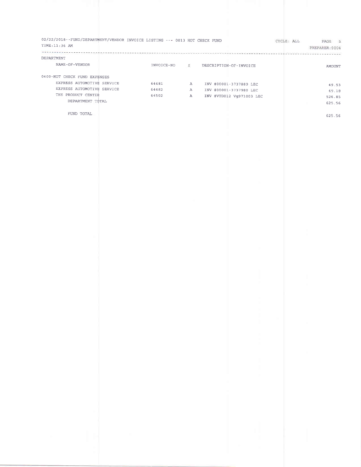| 02/22/2018--FUND/DEPARTMENT/VENDOR INVOICE LISTING --- 0013 HOT CHECK FUND<br>TIME: 11:36 AM<br>---------- |                         |                            | CYCLE: ALL                  | PAGE 5<br>PREPARER: 0004 |
|------------------------------------------------------------------------------------------------------------|-------------------------|----------------------------|-----------------------------|--------------------------|
| DEPARTMENT                                                                                                 |                         |                            | and the company's company's | $- - -$                  |
| NAME-OF-VENDOR                                                                                             | INVOICE-NO <sub>5</sub> | DESCRIPTION-OF-INVOICE     |                             | AMOUNT                   |
| 0400-HOT CHECK FUND EXPENSES                                                                               |                         |                            |                             |                          |
| EXPRESS AUTOMOTIVE SERVICE                                                                                 | 64481                   | A INV #00001-3737889 LEC   |                             | 49.53                    |
| EXPRESS AUTOMOTIVE SERVICE                                                                                 | 64482                   | A INV #00001-3737980 LEC   |                             | 49.18                    |
| THE PRODUCT CENTER                                                                                         | 64502                   | A INV #VTD012 Vg971003 LEC |                             | 526.85                   |
| DEPARTMENT TOTAL                                                                                           |                         |                            |                             | 625.56                   |
|                                                                                                            |                         |                            |                             |                          |
| FUND TOTAL                                                                                                 |                         |                            |                             | 625.56                   |
|                                                                                                            |                         |                            |                             |                          |
|                                                                                                            |                         |                            |                             |                          |
|                                                                                                            |                         |                            |                             |                          |
|                                                                                                            |                         |                            |                             |                          |
|                                                                                                            |                         |                            |                             |                          |
|                                                                                                            |                         |                            |                             |                          |
|                                                                                                            |                         |                            |                             |                          |
|                                                                                                            |                         |                            |                             |                          |
|                                                                                                            |                         |                            |                             |                          |
|                                                                                                            |                         |                            |                             |                          |
|                                                                                                            |                         |                            |                             |                          |
|                                                                                                            |                         |                            |                             |                          |
|                                                                                                            |                         | ł                          |                             |                          |
|                                                                                                            |                         | ÷                          |                             |                          |
|                                                                                                            |                         |                            |                             |                          |
|                                                                                                            |                         | I,                         |                             |                          |
|                                                                                                            |                         |                            |                             |                          |
|                                                                                                            |                         | ٠                          |                             |                          |
|                                                                                                            |                         |                            |                             |                          |
|                                                                                                            |                         |                            |                             |                          |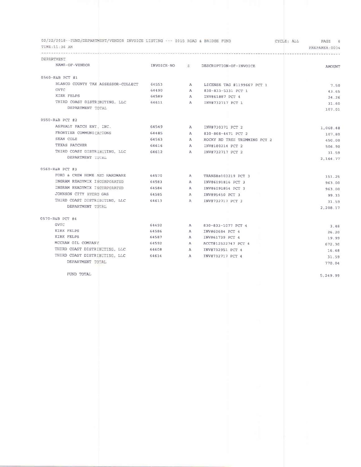| 02/22/2018--FUND/DEPARTMENT/VENDOR INVOICE LISTING --- 0015 ROAD & BRIDGE FUND<br>TIME:11:36 AM |                         |                |                              | CYCLE: ALL<br>PAGE 6<br>PREPARER: 0004 |
|-------------------------------------------------------------------------------------------------|-------------------------|----------------|------------------------------|----------------------------------------|
| DEPARTMENT                                                                                      |                         |                |                              |                                        |
| NAME-OF-VENDOR                                                                                  | INVOICE-NO 5            |                | DESCRIPTION-OF-INVOICE       | <b>AMOUNT</b>                          |
| 0540-R&B PCT #1                                                                                 |                         |                |                              |                                        |
| BLANCO COUNTY TAX ASSESSOR-COLLECT                                                              | 64553                   | $\overline{A}$ | LICENSE TAG #1199667 PCT 1   | 7.50                                   |
| <b>GVTC</b>                                                                                     | 64490                   | $\overline{A}$ | 830-833-5331 PCT 1           | 43.65                                  |
| KIRK FELPS                                                                                      | 64589                   | $\mathbf{A}$   | INV#61887 PCT 4              | 24.26                                  |
| THIRD COAST DISTRIBUTING, LLC                                                                   | 64611                   | $\overline{A}$ | INV#732717 PCT 1             | 31.60                                  |
| DEPARTMENT TOTAL                                                                                |                         |                |                              | 107.01                                 |
|                                                                                                 |                         |                |                              |                                        |
| 0550-R&B PCT #2                                                                                 |                         |                |                              |                                        |
| ASPHALT PATCH ENT INC.<br>64549                                                                 |                         | <b>A</b>       | INV#730371 PCT 2             | 1,068.48                               |
| FRONTIER COMMUNICATIONS                                                                         | 64485                   | $\mathbf{A}$   | 830-868-4471 PCT 2           | 107.80                                 |
| SEAN COLE                                                                                       | 64563                   | $\mathbb{A}$   | ROCKY RD TREE TRIMMING PCT 2 | 450.00                                 |
| TEXAS PATCHER                                                                                   | 64616                   | $\mathbf{A}$   | INV#180214 PCT 2             | 506.90                                 |
| THIRD COAST DISTRIBUTING, LLC                                                                   | 64612                   | $\mathbf{A}$   | INV#732717 PCT 2             | 31.59                                  |
| DEPARTMENT TOTAL                                                                                |                         |                |                              | 2,164.77                               |
|                                                                                                 |                         |                |                              |                                        |
| 0560-R&B PCT #3                                                                                 |                         |                |                              |                                        |
| FORD & CREW HOME AND HARDWARE                                                                   | 64570<br>$\overline{A}$ |                | TRANS#a103219 PCT 3          | 151.25                                 |
| INGRAM READYMIX INCORPORATED                                                                    | 64583                   | $\mathbf{A}$   | INV#6091816 PCT 3            | 963.00                                 |
| INGRAM READYMIX INCORPORATED                                                                    | 64584                   | A              | INV#6091854 PCT 3            | 963.00                                 |
| JOHNSON CITY HYDRO GAS                                                                          | 64585                   | $\mathbf{A}$   | INV#95450 PCT 3              | 99.33                                  |
| THIRD COAST DISTRIBUTING, LLC                                                                   | 64613                   | $\mathbf{A}$   | INV#732717 PCT 3             | 31.59                                  |
| DEPARTMENT TOTAL                                                                                |                         |                |                              | 2,208.17                               |
|                                                                                                 |                         |                |                              |                                        |
| 0570-R&B PCT #4                                                                                 |                         |                |                              |                                        |
| GVTC                                                                                            | 64492                   | $\mathbf{A}$   | 830-833-1077 PCT 4           | 3.48                                   |
| KIRK FELPS                                                                                      | 64586                   | $\overline{A}$ | INV#60684 PCT 4              | 26.20                                  |
| KIRK FELPS                                                                                      | 64587                   | $\mathbf{A}$   | INV#61739 PCT 4              | 19.99                                  |
| MCCRAW OIL COMPANY                                                                              | 64592                   | $\mathbf{A}$   | ACCT#12522747 PCT 4          | 672.30                                 |
| THIRD COAST DISTRIBUTING, LLC 64608                                                             |                         | $\mathbf{A}$   | INV#732951 PCT 4             | 16.48                                  |
| THIRD COAST DISTRIBUTING, LLC                                                                   | 64614                   | $\overline{A}$ | INV#732717 PCT 4             | 31.59                                  |
| DEPARTMENT TOTAL                                                                                |                         |                |                              | 770.04                                 |

FUND TOTAL  $\,$ 

5 ,249 . 99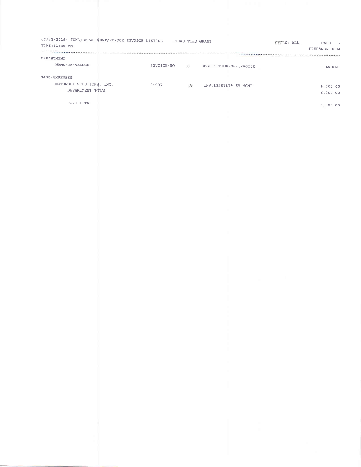| DEPARTMENT                                   |       |                                     | ********** | --------------       |
|----------------------------------------------|-------|-------------------------------------|------------|----------------------|
| NAME-OF-VENDOR                               |       | INVOICE-NO S DESCRIPTION-OF-INVOICE |            | AMOUNT               |
| 0400-EXPENSES                                |       |                                     |            |                      |
| MOTOROLA SOLUTIONS, INC.<br>DEPARTMENT TOTAL | 64597 | A INV#13201879 EM MGMT              |            | 6,000.00<br>6,000.00 |
| FUND TOTAL                                   |       |                                     |            | 6,000.00             |
|                                              |       |                                     |            |                      |
|                                              |       |                                     |            |                      |
|                                              |       |                                     |            |                      |
|                                              |       |                                     |            |                      |
|                                              |       |                                     |            |                      |
|                                              |       |                                     |            |                      |
|                                              |       |                                     |            |                      |
|                                              |       |                                     |            |                      |
|                                              |       |                                     |            |                      |
|                                              |       |                                     |            |                      |
|                                              |       |                                     |            |                      |
|                                              |       |                                     |            |                      |
|                                              |       |                                     |            |                      |
|                                              |       |                                     |            |                      |
|                                              |       |                                     |            |                      |
|                                              |       |                                     |            |                      |
|                                              |       |                                     |            |                      |
|                                              |       |                                     |            |                      |
|                                              |       |                                     |            |                      |
|                                              |       | $\mathcal{L}$                       |            |                      |
|                                              |       |                                     |            |                      |
|                                              |       |                                     |            |                      |
|                                              |       |                                     |            |                      |
|                                              |       |                                     |            |                      |
|                                              |       | $\mathcal{L}_{\text{max}}$          |            |                      |
|                                              |       |                                     |            |                      |
|                                              |       | $\mathcal{L}_{\mathcal{A}}$         |            |                      |
|                                              |       |                                     |            |                      |
|                                              |       |                                     |            |                      |
|                                              |       |                                     |            |                      |
|                                              |       | ı<br>$\sim$                         |            |                      |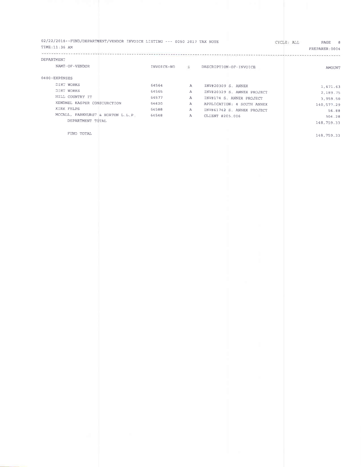| 02/22/2018--FUND/DEPARTMENT/VENDOR INVOICE LISTING --- 0050 2017 TAX NOTE<br>TIME:11:36 AM |                |                              |                                                        | CYCLE: ALL<br>PAGE 8<br>PREPARER: 0004 |
|--------------------------------------------------------------------------------------------|----------------|------------------------------|--------------------------------------------------------|----------------------------------------|
| DEPARTMENT                                                                                 |                |                              | 经预先的法 化光谱计光谱光谱计光谱光谱 化分析分析 化水杨酸酯 化二乙基二乙基                | .                                      |
| NAME-OF-VENDOR                                                                             |                |                              | INVOICE-NO 5 DESCRIPTION-OF-INVOICE                    |                                        |
|                                                                                            |                |                              |                                                        | AMOUNT                                 |
| 0400-EXPENSES                                                                              |                |                              |                                                        |                                        |
| DIRT WORKS                                                                                 | 64564          | $\mathbf{A}$                 | INV#20309 S. ANNEX                                     | 1,671.63                               |
| DIRT WORKS                                                                                 | 64565          | A                            | INV#20329 S. ANNEX PROJECT                             | 2,189.75                               |
| HILL COUNTRY IT<br>KENDNEL KASPER CONSTURCTION                                             | 54577<br>54620 | $\mathbb{A}$<br>$\mathbf{A}$ | INV#174 S. ANNEX PROJECT<br>APPLICATION: 4 SOUTH ANNEX | 3,959.50                               |
| KIRK FELPS                                                                                 | 54588          | A                            | INV#61742 S. ANNEX PROJECT                             | 140,577.29<br>56.88                    |
| MCCALL, PARKHURST & HORTON L.L.P.                                                          | 64548          | A                            | CLIENT #205.006                                        | 304.28                                 |
| DEPARTMENT TOTAL                                                                           |                |                              |                                                        | 148,759.33                             |
| FUND TOTAL                                                                                 |                |                              |                                                        | 148,759.33                             |
|                                                                                            |                |                              |                                                        |                                        |
|                                                                                            |                |                              |                                                        |                                        |
|                                                                                            |                |                              |                                                        |                                        |
|                                                                                            |                |                              |                                                        |                                        |
|                                                                                            |                |                              |                                                        |                                        |
|                                                                                            |                |                              |                                                        |                                        |
|                                                                                            |                |                              |                                                        |                                        |
|                                                                                            |                |                              |                                                        |                                        |
|                                                                                            |                |                              |                                                        |                                        |
|                                                                                            |                |                              |                                                        |                                        |
|                                                                                            |                |                              |                                                        |                                        |
|                                                                                            |                |                              |                                                        |                                        |
|                                                                                            |                |                              |                                                        |                                        |
|                                                                                            |                |                              |                                                        |                                        |
|                                                                                            |                |                              |                                                        |                                        |
|                                                                                            |                |                              |                                                        |                                        |
|                                                                                            |                |                              |                                                        |                                        |
|                                                                                            |                |                              |                                                        |                                        |
|                                                                                            |                |                              |                                                        |                                        |
|                                                                                            |                |                              |                                                        |                                        |
|                                                                                            |                |                              |                                                        |                                        |
|                                                                                            |                |                              |                                                        |                                        |
|                                                                                            |                |                              |                                                        |                                        |
|                                                                                            |                |                              |                                                        |                                        |
|                                                                                            |                |                              |                                                        |                                        |
|                                                                                            |                |                              |                                                        |                                        |
|                                                                                            |                |                              |                                                        |                                        |
|                                                                                            |                |                              |                                                        |                                        |
|                                                                                            |                |                              | and the control of                                     |                                        |
|                                                                                            |                |                              |                                                        |                                        |
|                                                                                            |                |                              | $\mathcal{L}_{\rm{max}}$                               |                                        |
|                                                                                            |                |                              |                                                        |                                        |
|                                                                                            |                |                              | $\mathbb{R}^n$ .                                       |                                        |
|                                                                                            |                |                              | <b>The Common</b>                                      |                                        |
|                                                                                            |                |                              |                                                        |                                        |
|                                                                                            |                |                              | ٠                                                      |                                        |
|                                                                                            |                |                              |                                                        |                                        |
|                                                                                            |                |                              |                                                        |                                        |
|                                                                                            |                |                              |                                                        |                                        |
|                                                                                            |                |                              |                                                        |                                        |
|                                                                                            |                |                              |                                                        |                                        |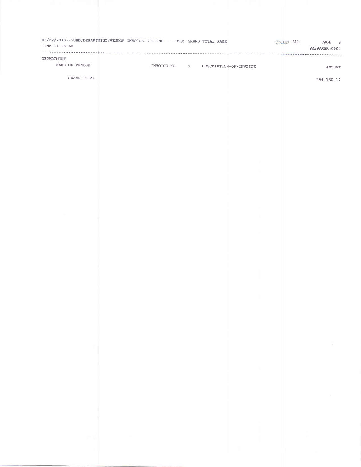| DEPARTMENT     |                          |                                     |                          | PREPARER: 0004 |
|----------------|--------------------------|-------------------------------------|--------------------------|----------------|
| NAME-OF-VENDOR |                          | INVOICE-NO S DESCRIPTION-OF-INVOICE |                          | AMOUNT         |
| GRAND TOTAL    |                          |                                     |                          | 254, 150. 17   |
|                |                          |                                     |                          |                |
|                |                          |                                     |                          |                |
|                |                          |                                     |                          |                |
|                |                          |                                     |                          |                |
|                |                          |                                     |                          |                |
|                |                          |                                     |                          |                |
|                |                          |                                     |                          |                |
|                |                          |                                     |                          |                |
|                |                          |                                     |                          |                |
|                |                          |                                     |                          |                |
|                |                          |                                     |                          |                |
|                |                          |                                     |                          |                |
|                |                          |                                     |                          |                |
|                |                          |                                     |                          |                |
|                |                          |                                     |                          |                |
|                |                          |                                     |                          |                |
|                |                          |                                     |                          |                |
|                |                          |                                     |                          |                |
|                |                          |                                     |                          |                |
|                |                          |                                     |                          |                |
|                |                          |                                     |                          |                |
|                |                          |                                     |                          |                |
|                |                          |                                     |                          |                |
| <b>COL</b>     |                          |                                     |                          | $\sim$         |
|                |                          |                                     |                          |                |
|                |                          |                                     | <b>Contract Contract</b> |                |
|                |                          |                                     |                          |                |
|                |                          |                                     |                          | $\sim 10^{-7}$ |
|                |                          |                                     |                          |                |
|                |                          |                                     |                          |                |
|                |                          |                                     |                          | ×              |
| m Al           | <b>Contract Contract</b> |                                     |                          |                |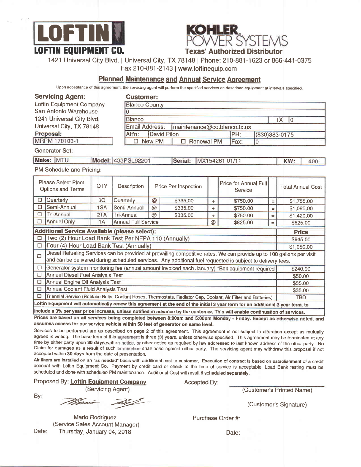



1421 Universal City Blvd. I Universal City, TX 78148 | Phone: 210-881 -1 623 or 866'441 -0375

Fax 210-881-2143 | www.loftinequip.com

#### Planned Maintenance and Annual Service Agreement

Upon acceptance of this agreement, the servicing agent will perform the specified services on described equipment at intervals specified.

| <b>Servicing Agent:</b><br><b>Loftin Equipment Company</b><br>San Antonio Warehouse<br>1241 Universal City Blvd.                                                                                                                                        |     | 0                  | <b>Customer:</b><br><b>Blanco County</b>                |                                                                                                                                                                                                                                     |              |                                  |                |                          |  |
|---------------------------------------------------------------------------------------------------------------------------------------------------------------------------------------------------------------------------------------------------------|-----|--------------------|---------------------------------------------------------|-------------------------------------------------------------------------------------------------------------------------------------------------------------------------------------------------------------------------------------|--------------|----------------------------------|----------------|--------------------------|--|
|                                                                                                                                                                                                                                                         |     | <b>Blanco</b>      |                                                         |                                                                                                                                                                                                                                     |              |                                  |                | <b>TX</b><br>lо          |  |
| Universal City, TX 78148                                                                                                                                                                                                                                |     |                    | <b>Email Address:</b><br>maintenance@co.blanco.tx.us    |                                                                                                                                                                                                                                     |              |                                  |                |                          |  |
| Proposal:                                                                                                                                                                                                                                               |     | Att'n:             | <b>David Pilon</b>                                      |                                                                                                                                                                                                                                     |              | PH:                              | (830)383-0175  |                          |  |
| MRPM 170103-1                                                                                                                                                                                                                                           |     | <b>D</b> New PM    |                                                         |                                                                                                                                                                                                                                     | □ Renewal PM |                                  | $\overline{0}$ |                          |  |
| Generator Set:                                                                                                                                                                                                                                          |     |                    |                                                         |                                                                                                                                                                                                                                     |              |                                  |                |                          |  |
| Make: MTU                                                                                                                                                                                                                                               |     | Model: 433PSL62201 |                                                         | Serial:                                                                                                                                                                                                                             |              | MX154261 01/11                   |                | KW:<br>400               |  |
| PM Schedule and Pricing:                                                                                                                                                                                                                                |     |                    |                                                         |                                                                                                                                                                                                                                     |              |                                  |                |                          |  |
| Please Select Plant.<br><b>Options and Terms</b>                                                                                                                                                                                                        | QTY | Description        |                                                         | <b>Price Per Inspection</b>                                                                                                                                                                                                         |              | Price for Annual Full<br>Service |                | <b>Total Annual Cost</b> |  |
| Quarterly<br>$\Box$                                                                                                                                                                                                                                     | 3Q  | Quarterly          | @                                                       | \$335,00                                                                                                                                                                                                                            | ÷            | \$750.00                         | $=$            | \$1,755.00               |  |
| Semi-Annual<br>□                                                                                                                                                                                                                                        | 1SA | Semi-Annual        | $\circledcirc$                                          | \$335,00                                                                                                                                                                                                                            | ÷            | \$750,00                         | $=$            | \$1,085,00               |  |
| $\square$<br>Tri-Annual                                                                                                                                                                                                                                 | 2TA | <b>Tri-Annual</b>  | $\overline{\omega}$                                     | \$335.00                                                                                                                                                                                                                            | ÷            | \$750,00                         | $=$            | \$1,420.00               |  |
| <b>Annual Only</b><br>□                                                                                                                                                                                                                                 | 1A  |                    | <b>Annual Full Service</b><br>@<br>\$825.00<br>$\equiv$ |                                                                                                                                                                                                                                     |              |                                  | \$825.00       |                          |  |
| <b>Additional Service Available (please select):</b>                                                                                                                                                                                                    |     |                    |                                                         |                                                                                                                                                                                                                                     |              |                                  | <b>Price</b>   |                          |  |
| Two (2) Hour Load Bank Test Per NFPA 110 (Annually)<br>$\Box$                                                                                                                                                                                           |     |                    |                                                         |                                                                                                                                                                                                                                     |              |                                  | \$845.00       |                          |  |
| $\Box$<br>Four (4) Hour Load Bank Test (Annually)                                                                                                                                                                                                       |     |                    |                                                         |                                                                                                                                                                                                                                     |              |                                  | \$1,050.00     |                          |  |
| $\Box$                                                                                                                                                                                                                                                  |     |                    |                                                         | Diesel Refueling Services can be provided at prevailing competitive rates. We can provide up to 100 gallons per visit<br>and can be delivered during scheduled services. Any additional fuel requested is subject to delivery fees. |              |                                  |                |                          |  |
| □<br>Generator system monitoring fee (annual amount invoiced each January) *Bolt equipment required                                                                                                                                                     |     |                    |                                                         |                                                                                                                                                                                                                                     |              |                                  | \$240.00       |                          |  |
| <b>Annual Diesel Fuel Analysis Test</b><br>$\Box$                                                                                                                                                                                                       |     |                    |                                                         |                                                                                                                                                                                                                                     |              |                                  | \$50.00        |                          |  |
| Annual Engine Oil Analysis Test<br>□                                                                                                                                                                                                                    |     |                    |                                                         |                                                                                                                                                                                                                                     |              |                                  | \$35.00        |                          |  |
| α<br>Annual Coolant Fluid Analysis Test                                                                                                                                                                                                                 |     |                    |                                                         |                                                                                                                                                                                                                                     |              |                                  | \$35.00        |                          |  |
| □<br>Triennial Service (Replace Belts, Coolant Hoses, Thermostats, Radiator Cap, Coolant, Air Filter and Batteries)<br>Loftin Equipment will automatically renew this agreement at the end of the initial 3 year term for an additional 3 year term, to |     |                    |                                                         |                                                                                                                                                                                                                                     |              |                                  |                | <b>TBD</b>               |  |
|                                                                                                                                                                                                                                                         |     |                    |                                                         |                                                                                                                                                                                                                                     |              |                                  |                |                          |  |
| include a 3% per year price increase, unless notified in advance by the customer. This will enable continuation of services,                                                                                                                            |     |                    |                                                         |                                                                                                                                                                                                                                     |              |                                  |                |                          |  |
| Prices are based on all services being completed between 8:00am and 5:00pm Monday - Friday. Except as otherwise noted, and<br>assumes access for our service vehicle within 50 feet of generator on same level.                                         |     |                    |                                                         |                                                                                                                                                                                                                                     |              |                                  |                |                          |  |
| Services to be performed are as described on page 2 of this agreement. This agreement is not subject to alteration except as mutually                                                                                                                   |     |                    |                                                         |                                                                                                                                                                                                                                     |              |                                  |                |                          |  |

Services to be performed are as described on page 2 of this agreement. This agreement is not subject to alteration except as mutually<br>agreed in writing. The base term of this agreement is three (3) years, unless otherwise time by either party upon 30 days written notice, or other notice as required by law addressed to last known address of the other party. No Claim for damages as a result of such termination shall arise against either party. The servicing agent may withdraw this proposal if not accepted within 30 days from the date of presentation.

Air filters are installed on an "as needed" basis with additional cost to customer. Execution of contract is based on establishment of a credit account with Loftin Equipment Co. Payment by credit card or check at the time of service is acceptable. Load Bank testing must be scheduled and done with scheduled PM maintenance. Additional Cost will resuh if scheduled separately.

Proposed By: **Loftin Equipment Company** 

By:

(Servicing Agent)

(Customer's Signature)

Mario Rodriguez (Service Sales Account Manager) Date: Thursday, January 04, 2018

Accepted By:

(Customer's Printed Name)

Purchase Order #:

Date: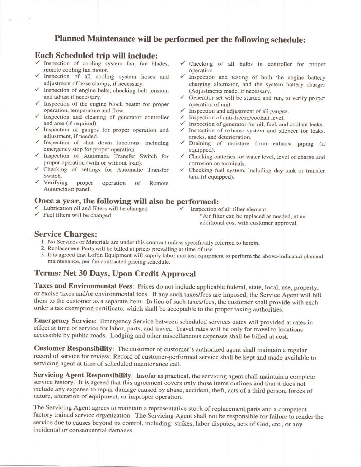## Planned Maintenance will be performed per the following schedule:

#### Each Scheduled trip will include:

7a)

- $\checkmark$  Inspection of cooling system fan, fan blades, remote cooling fan motor.
- 
- 
- 
- $\checkmark$  Inspection and cleaning of generator controller  $\checkmark$  Inspection of anti-freeze/coolant level.<br>and area (if required).  $\checkmark$  Inspection of generator for oil, fuel, and coolant leaks.
- $\checkmark$  Inspection of gauges for proper operation and  $\checkmark$  Inspection of exhaust system and silencer for leaks, adjustment, if needed. cracks, and deterioration.
- 
- 
- 
- Annunciator panel.

# Once a year, the following will also be performed:<br>  $\checkmark$  Lubrication oil and filters will be changed  $\checkmark$  Inspection of air filter element.<br>  $\checkmark$  Fuel filters will be changed  $\checkmark$  Air filter can be replaced as needed,

- 
- 
- / Checking of all bulbs in controller for proper
- Function of all cooling system hoses and v Inspection and testing of both the engine battery<br>adjustment of hose clamps, if necessary.<br>
v Inspection of engine belts, checking belt tension,<br>
and adjust if necessary.<br>
<br>
v Ge
- and adjust if necessary.<br>
v Generator set will be started and run, to verify proper<br>
v Inspection of unit.<br>
v Inspection and adjustment of all gauges.
	-
	-
	-
	-
- $\checkmark$  Inspection of shut down functions, including  $\checkmark$  Draining of moisture from exhaust piping (if equipped).
- Inspection of Automatic Transfer Switch for  $\checkmark$  Checking batteries for water level, level of charge and proper operation (with or without load).
- $\checkmark$  Checking of settings for Automatic Transfer  $\checkmark$  Checking fuel system, including day tank or transfer Switch.<br>  $\checkmark$  Verifying proper operation of Remote
	-

additional cost with customcr approval.

#### Service Charges:

- 1. No Services or Materials are under this contract unless specifically referred to herein.
- 2. Replacement Parts will be billed at prices prevailing at time of use.
- 3- It is agrccd that Loftin Equipmcnt will supply labor and tcst cquipmcnt to pcrform thc abovc-indicatcd planncd maintenance, per the contracted pricing schedule.

### Terms: Net 30 Days, Upon Credit Approval

Taxes and Environmental Fees: Prices do not include applicable federal, state, local, use, property, or excise taxes and/or environmental fees. lf any such taxes/fees are imposed, the Service Agent will bill them to the customer as a separate item. In lieu of such taxes/fees, the customer shall provide with each order a tax exemption certificate, which shall be acceptable to the proper taxing authorities.

Emergency Service: Emergency Service between scheduled services dates will provided at rates in effect at time of service for labor, parts, and travel. Travel rates will be only for travel to locations accessible by public roads. Lodging and other miscellaneous expenses shall be billed at cost.

Customer Responsibility: The customer or customer's authorized agent shall maintain a regular record of service for review. Record of customer-performed service shall be kept and made available to servicing agent at time of scheduled maintenance call.

Servicing Agent Responsibility: Insofar as practical, the servicing agent shall maintain a complete service history. It is agreed that this agreernent covers only those items outlines and that it does not include any expense to repair damage caused by abuse, accident, theft, acts of a third person, forces of nature, alteration of equipment, or improper operation.

The Servicing Agent agrees to maintain a representative stock of replacement parts and a competent factory trained service organization. The Servicing Agent shall not be responsible for failure to render the service due to causes beyond its control, including: strikes, labor disputes, acts of God, etc., or any incidental or consequential damages.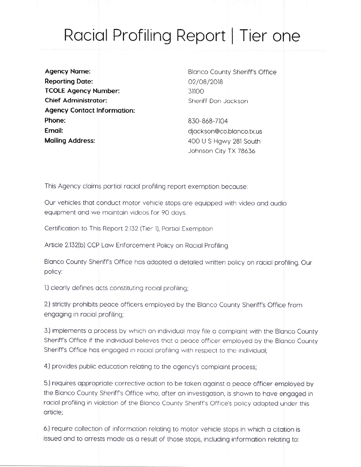## Racial Profiling Report | Tier one

**Agency Name: Reporting Date: TCOLE Agency Number: Chief Administrator: Agency Contact Information:** Phone: Email: **Mailing Address:** 

**Blanco County Sheriff's Office** 02/08/2018 31100 Sheriff Don Jackson

830-868-7104 djackson@co.blanco.tx.us 400 U S Hgwy 281 South Johnson City TX 78636

This Agency claims partial racial profiling report exemption because:

Our vehicles that conduct motor vehicle stops are equipped with video and audio equipment and we maintain videos for 90 days.

Certification to This Report 2.132 (Tier 1), Partial Exemption

Article 2.132(b) CCP Law Enforcement Policy on Racial Profiling

Blanco County Sheriff's Office has adopted a detailed written policy on racial profiling. Our policy:

1.) clearly defines acts constituting racial profiling;

2.) strictly prohibits peace officers employed by the Blanco County Sheriff's Office from engaging in racial profiling;

3.) implements a process by which an individual may file a complaint with the Blanco County Sheriff's Office if the individual believes that a peace officer employed by the Blanco County Sheriff's Office has engaged in racial profiling with respect to the individual;

4.) provides public education relating to the agency's complaint process;

5.) requires appropriate corrective action to be taken against a peace officer employed by the Blanco County Sheriff's Office who, after an investigation, is shown to have engaged in racial profiling in violation of the Blanco County Sheriff's Office's policy adopted under this article;

6.) require collection of information relating to motor vehicle stops in which a citation is issued and to arrests made as a result of those stops, including information relating to: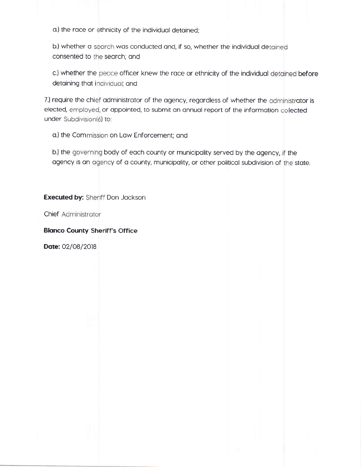a.) the race or ethnicity of the individual detained;

b.) whether a search was conducted and, if so, whether the individual de consented to the search; and

c.) whether the peace officer knew the race or ethnicity of the individual detained before detaining that individual; and

elected, employed, or appointed, to submit an annual report of the information collected under Subdivision(6) to 7.) require the chief administrator of the agency, regardless of whether the administrator is

a.) the Commission on Law Enforcement; and

b.) the governing body of each county or municipality served by the agency, if the agency is an agency of a county, municipality, or other political subdivision of the state.

**Executed by: Sheriff Don Jackson** 

**Chief Administrator** 

**Blanco County Sheriff's Office** 

Date: 02/08/2018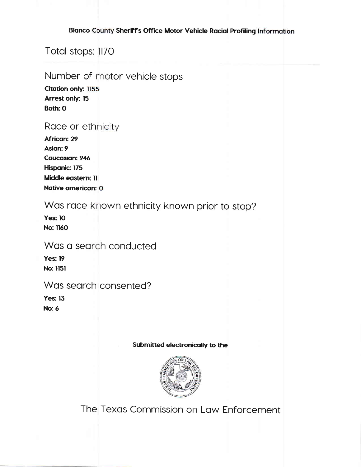#### Blanco County Sheriff's Office Motor Vehicle Racial Profiling Information

Total stops: 1170

## Number of motor vehicle stops

**Citation only: 1155 Arrest only: 15** Both: 0

## Race or ethnicity

| African: 29               |
|---------------------------|
| Asian: 9                  |
| <b>Caucasian: 946</b>     |
| Hispanic: 175             |
| <b>Middle eastern: 11</b> |
| Native american: 0        |

## Was race known ethnicity known prior to stop?

**Yes: 10 No: 1160** 

## Was a search conducted

**Yes: 19 No: 1151** 

## Was search consented?

**Yes: 13 No: 6** 

#### Submitted electronically to the



The Texas Commission on Law Enforcement